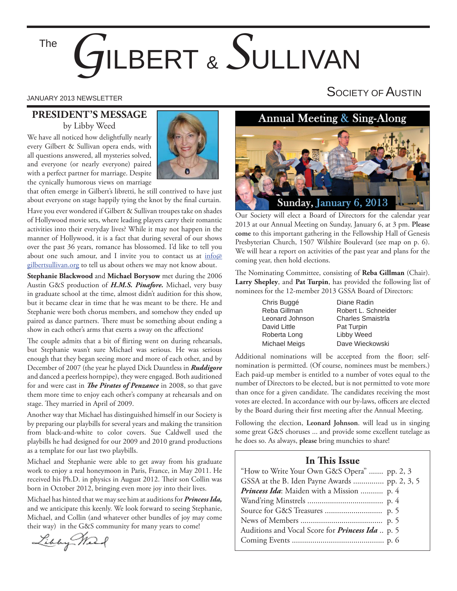# *G*ILBERT & *S*ULLIVAN The

#### **PRESIDENT'S MESSAGE** by Libby Weed

We have all noticed how delightfully nearly every Gilbert & Sullivan opera ends, with all questions answered, all mysteries solved, and everyone (or nearly everyone) paired with a perfect partner for marriage. Despite the cynically humorous views on marriage



that often emerge in Gilbert's libretti, he still contrived to have just about everyone on stage happily tying the knot by the final curtain.

Have you ever wondered if Gilbert & Sullivan troupes take on shades of Hollywood movie sets, where leading players carry their romantic activities into their everyday lives? While it may not happen in the manner of Hollywood, it is a fact that during several of our shows over the past 36 years, romance has blossomed. I'd like to tell you about one such amour, and I invite you to contact us at info@ gilbertsullivan.org to tell us about others we may not know about.

**Stephanie Blackwood** and **Michael Borysow** met during the 2006 Austin G&S production of *H.M.S. Pinafore.* Michael, very busy in graduate school at the time, almost didn't audition for this show, but it became clear in time that he was meant to be there. He and Stephanie were both chorus members, and somehow they ended up paired as dance partners. There must be something about ending a show in each other's arms that exerts a sway on the affections!

The couple admits that a bit of flirting went on during rehearsals, but Stephanie wasn't sure Michael was serious. He was serious enough that they began seeing more and more of each other, and by December of 2007 (the year he played Dick Dauntless in *Ruddigore* and danced a peerless hornpipe), they were engaged. Both auditioned for and were cast in *The Pirates of Penzance* in 2008, so that gave them more time to enjoy each other's company at rehearsals and on stage. They married in April of 2009.

Another way that Michael has distinguished himself in our Society is by preparing our playbills for several years and making the transition from black-and-white to color covers. Sue Caldwell used the playbills he had designed for our 2009 and 2010 grand productions as a template for our last two playbills.

Michael and Stephanie were able to get away from his graduate work to enjoy a real honeymoon in Paris, France, in May 2011. He received his Ph.D. in physics in August 2012. Their son Collin was born in October 2012, bringing even more joy into their lives.

Michael has hinted that we may see him at auditions for *Princess Ida,* and we anticipate this keenly. We look forward to seeing Stephanie, Michael, and Collin (and whatever other bundles of joy may come their way) in the G&S community for many years to come!

Libby Marc

# JANUARY 2013 NEWSLETTER SOCIETY OF  $\mathsf A$ USTIN

### **Annual Meeting & Sing-Along**



Our Society will elect a Board of Directors for the calendar year 2013 at our Annual Meeting on Sunday, January 6, at 3 pm. **Please come** to this important gathering in the Fellowship Hall of Genesis Presbyterian Church, 1507 Wilshire Boulevard (see map on p. 6). We will hear a report on activities of the past year and plans for the coming year, then hold elections.

The Nominating Committee, consisting of **Reba Gillman** (Chair). **Larry Shepley**, and **Pat Turpin**, has provided the following list of nominees for the 12-member 2013 GSSA Board of Directors:

> Chris Buggé Diane Radin Leonard Johnson Charles Smaistrla David Little **Pat Turpin** Roberta Long Libby Weed

Reba Gillman Robert L. Schneider Michael Meigs Dave Wieckowski

Additional nominations will be accepted from the floor; selfnomination is permitted. (Of course, nominees must be members.) Each paid-up member is entitled to a number of votes equal to the number of Directors to be elected, but is not permitted to vote more than once for a given candidate. The candidates receiving the most votes are elected. In accordance with our by-laws, officers are elected by the Board during their first meeting after the Annual Meeting.

Following the election, **Leonard Johnson**. will lead us in singing some great G&S choruses ... and provide some excellent tutelage as he does so. As always, **please** bring munchies to share!

#### **In This Issue**

| "How to Write Your Own G&S Opera"  pp. 2, 3            |  |
|--------------------------------------------------------|--|
|                                                        |  |
| Princess Ida: Maiden with a Mission  p. 4              |  |
|                                                        |  |
|                                                        |  |
|                                                        |  |
| Auditions and Vocal Score for <i>Princess Ida</i> p. 5 |  |
|                                                        |  |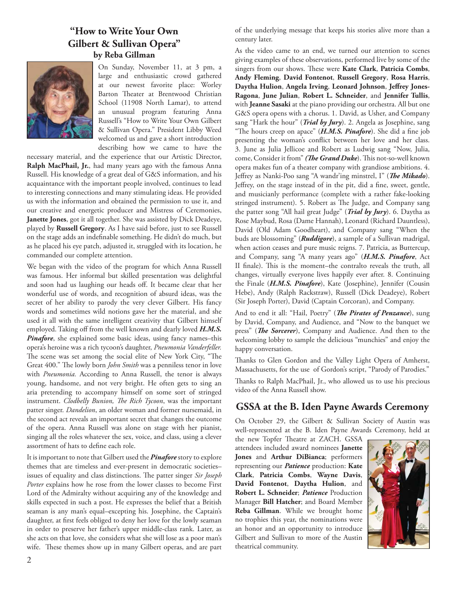#### **"How to Write Your Own Gilbert & Sullivan Opera" by Reba Gillman**



On Sunday, November 11, at 3 pm, a large and enthusiastic crowd gathered at our newest favorite place: Worley Barton Theater at Brentwood Christian School (11908 North Lamar), to attend an unusual program featuring Anna Russell's "How to Write Your Own Gilbert & Sullivan Opera." President Libby Weed welcomed us and gave a short introduction describing how we came to have the

necessary material, and the experience that our Artistic Director, **Ralph MacPhail, Jr.**, had many years ago with the famous Anna Russell. His knowledge of a great deal of G&S information, and his acquaintance with the important people involved, continues to lead to interesting connections and many stimulating ideas. He provided us with the information and obtained the permission to use it, and our creative and energetic producer and Mistress of Ceremonies, **Janette Jones**, got it all together. She was assisted by Dick Deadeye, played by **Russell Gregory**. As I have said before, just to see Russell on the stage adds an indefinable something. He didn't do much, but as he placed his eye patch, adjusted it, struggled with its location, he commanded our complete attention.

We began with the video of the program for which Anna Russell was famous. Her informal but skilled presentation was delightful and soon had us laughing our heads off. It became clear that her wonderful use of words, and recognition of absurd ideas, was the secret of her ability to parody the very clever Gilbert. His fancy words and sometimes wild notions gave her the material, and she used it all with the same intelligent creativity that Gilbert himself employed. Taking off from the well known and dearly loved *H.M.S. Pinafore*, she explained some basic ideas, using fancy names–this opera's heroine was a rich tycoon's daughter, *Pneumonia Vanderfeller.*  The scene was set among the social elite of New York City, "The Great 400." The lowly born *John Smith* was a penniless tenor in love with *Pneumonia.* According to Anna Russell, the tenor is always young, handsome, and not very bright. He often gets to sing an aria pretending to accompany himself on some sort of stringed instrument. *Clodbelly Bunion*, *The Rich Tycoon*, was the important patter singer. *Dandelion*, an older woman and former nursemaid, in the second act reveals an important secret that changes the outcome of the opera. Anna Russell was alone on stage with her pianist, singing all the roles whatever the sex, voice, and class, using a clever assortment of hats to define each role.

It is important to note that Gilbert used the *Pinafore* story to explore themes that are timeless and ever-present in democratic societies– issues of equality and class distinctions. The patter singer Sir Joseph *Porter* explains how he rose from the lower classes to become First Lord of the Admiralty without acquiring any of the knowledge and skills expected in such a post. He expresses the belief that a British seaman is any man's equal–excepting his. Josephine, the Captain's daughter, at first feels obliged to deny her love for the lowly seaman in order to preserve her father's upper middle-class rank. Later, as she acts on that love, she considers what she will lose as a poor man's wife. These themes show up in many Gilbert operas, and are part

of the underlying message that keeps his stories alive more than a century later.

As the video came to an end, we turned our attention to scenes giving examples of these observations, performed live by some of the singers from our shows. These were Kate Clark, Patricia Combs, **Andy Fleming**, **David Fontenot**, **Russell Gregory**, **Rosa Harris**, Daytha Hulion, Angela Irving, Leonard Johnson, Jeffrey Jones-**Ragona**, **June Julian**, **Robert L. Schneider**, and **Jennifer Tullis**, with **Jeanne Sasaki** at the piano providing our orchestra. All but one G&S opera opens with a chorus. 1. David, as Usher, and Company sang "Hark the hour" (*Trial by Jury*). 2. Angela as Josephine, sang "The hours creep on apace" (*H.M.S. Pinafore*). She did a fine job presenting the woman's conflict between her love and her class. 3. June as Julia Jellicoe and Robert as Ludwig sang "Now, Julia, come, Consider it from" (The Grand Duke). This not-so-well known opera makes fun of a theater company with grandiose ambitions. 4. Jeffrey as Nanki-Poo sang "A wandr'ing minstrel, I" (The Mikado). Jeffrey, on the stage instead of in the pit, did a fine, sweet, gentle, and musicianly performance (complete with a rather fake-looking stringed instrument). 5. Robert as The Judge, and Company sang the patter song "All hail great Judge" (*Trial by Jury*). 6. Daytha as Rose Maybud, Rosa (Dame Hannah), Leonard (Richard Dauntless), David (Old Adam Goodheart), and Company sang "When the buds are blossoming" (*Ruddigore*), a sample of a Sullivan madrigal, when action ceases and pure music reigns. 7. Patricia, as Buttercup, and Company, sang "A many years ago" (*H.M.S. Pinafore*, Act II finale). This is the moment–the contralto reveals the truth, all changes, virtually everyone lives happily ever after. 8. Continuing the Finale (*H.M.S. Pinafore*), Kate (Josephine), Jennifer (Cousin Hebe), Andy (Ralph Rackstraw), Russell (Dick Deadeye), Robert (Sir Joseph Porter), David (Captain Corcoran), and Company.

And to end it all: "Hail, Poetry" (*The Pirates of Penzance*), sung by David, Company, and Audience, and "Now to the banquet we press" (*The Sorcerer*), Company and Audience. And then to the welcoming lobby to sample the delicious "munchies" and enjoy the happy conversation.

Thanks to Glen Gordon and the Valley Light Opera of Amherst, Massachusetts, for the use of Gordon's script, "Parody of Parodies."

Thanks to Ralph MacPhail, Jr., who allowed us to use his precious video of the Anna Russell show.

#### **GSSA at the B. Iden Payne Awards Ceremony**

On October 29, the Gilbert & Sullivan Society of Austin was well-represented at the B. Iden Payne Awards Ceremony, held at

the new Topfer Theatre at ZACH. GSSA attendees included award nominees **Janette Jones** and **Arthur DiBianca**; performers representing our *Patience* production: **Kate Clark**, **Patricia Combs**, **Wayne Davis**, **David Fontenot**, **Daytha Hulion**, and **Robert L. Schneider**; *Patience* Production Manager **Bill Hatcher**; and Board Member **Reba Gillman**. While we brought home no trophies this year, the nominations were an honor and an opportunity to introduce Gilbert and Sullivan to more of the Austin theatrical community.

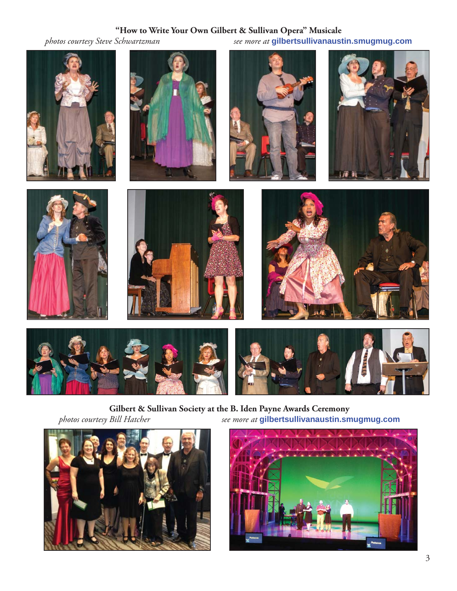# **"How to Write Your Own Gilbert & Sullivan Opera" Musicale**<br>*see more at* gilbertsullivanaust

*photos courtesy Steve Schwartzman see more at* **gilbertsullivanaustin.smugmug.com**

















**Gilbert & Sullivan Society at the B. Iden Payne Awards Ceremony**<br>*photos courtesy Bill Hatcher see more at* **gilbertsullivanaustin.sm** *photos courtesy Bill Hatcher see more at* **gilbertsullivanaustin.smugmug.com**



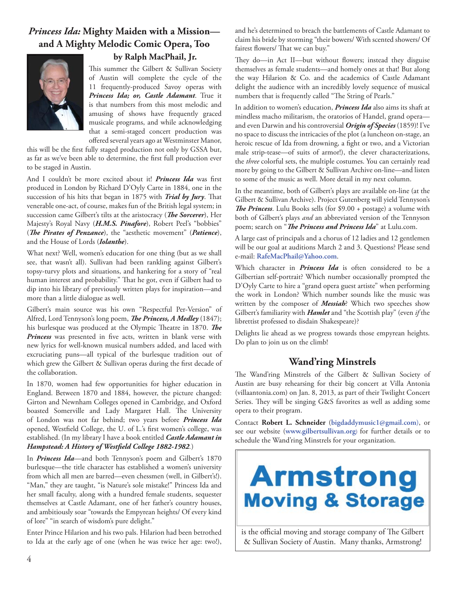## *Princess Ida:* **Mighty Maiden with a Mission and A Mighty Melodic Comic Opera, Too**



#### **by Ralph MacPhail, Jr.**

This summer the Gilbert & Sullivan Society of Austin will complete the cycle of the 11 frequently-produced Savoy operas with *Princess Ida; or, Castle Adamant*. True it is that numbers from this most melodic and amusing of shows have frequently graced musicale programs, and while acknowledging that a semi-staged concert production was offered several years ago at Westminster Manor,

this will be the first fully staged production not only by GSSA but, as far as we've been able to determine, the first full production ever to be staged in Austin.

And I couldn't be more excited about it! *Princess Ida* was first produced in London by Richard D'Oyly Carte in 1884, one in the succession of his hits that began in 1875 with *Trial by Jury*. That venerable one-act, of course, makes fun of the British legal system; in succession came Gilbert's tilts at the aristocracy (*The Sorcerer*), Her Majesty's Royal Navy (*H.M.S. Pinafore*), Robert Peel's "bobbies" (*The Pirates of Penzance*), the "aesthetic movement" (*Patience*), and the House of Lords (*Iolanthe*).

What next? Well, women's education for one thing (but as we shall see, that wasn't all). Sullivan had been rankling against Gilbert's topsy-turvy plots and situations, and hankering for a story of "real human interest and probability." That he got, even if Gilbert had to dip into his library of previously written plays for inspiration—and more than a little dialogue as well.

Gilbert's main source was his own "Respectful Per-Version" of Alfred, Lord Tennyson's long poem, The Princess, A Medley (1847); his burlesque was produced at the Olympic Theatre in 1870. The Princess was presented in five acts, written in blank verse with new lyrics for well-known musical numbers added, and laced with excruciating puns—all typical of the burlesque tradition out of which grew the Gilbert & Sullivan operas during the first decade of the collaboration.

In 1870, women had few opportunities for higher education in England. Between 1870 and 1884, however, the picture changed: Girton and Newnham Colleges opened in Cambridge, and Oxford boasted Somerville and Lady Margaret Hall. The University of London was not far behind; two years before *Princess Ida* opened, Westfield College, the U. of L.'s first women's college, was established. (In my library I have a book entitled *Castle Adamant in Hampstead: A History of Westfield College 1882-1982.*)

In *Princess Ida—*and both Tennyson's poem and Gilbert's 1870 burlesque—the title character has established a women's university from which all men are barred—even chessmen (well, in Gilbert's!). "Man," they are taught, "is Nature's sole mistake!" Princess Ida and her small faculty, along with a hundred female students, sequester themselves at Castle Adamant, one of her father's country houses, and ambitiously soar "towards the Empyrean heights/ Of every kind of lore" "in search of wisdom's pure delight."

Enter Prince Hilarion and his two pals. Hilarion had been betrothed to Ida at the early age of one (when he was twice her age: two!), and he's determined to breach the battlements of Castle Adamant to claim his bride by storming "their bowers/ With scented showers/ Of fairest flowers/ That we can buy."

They do—in Act II—but without flowers; instead they disguise themselves as female students—and homely ones at that! But along the way Hilarion & Co. and the academics of Castle Adamant delight the audience with an incredibly lovely sequence of musical numbers that is frequently called "The String of Pearls."

In addition to women's education, *Princess Ida* also aims its shaft at mindless macho militarism, the oratorios of Handel, grand opera and even Darwin and his controversial *Origin of Species* (1859)! I've no space to discuss the intricacies of the plot (a luncheon on-stage, an heroic rescue of Ida from drowning, a fight or two, and a Victorian male strip-tease—of suits of armor!), the clever characterizations, the *three* colorful sets, the multiple costumes. You can certainly read more by going to the Gilbert & Sullivan Archive on-line—and listen to some of the music as well. More detail in my next column.

In the meantime, both of Gilbert's plays are available on-line (at the Gilbert & Sullivan Archive). Project Gutenberg will yield Tennyson's **The Princess**. Lulu Books sells (for \$9.00 + postage) a volume with both of Gilbert's plays *and* an abbreviated version of the Tennyson poem; search on "*The Princess and Princess Ida*" at Lulu.com.

A large cast of principals and a chorus of 12 ladies and 12 gentlemen will be our goal at auditions March 2 and 3. Questions? Please send e-mail: **RafeMacPhail@Yahoo.com**.

Which character in *Princess Ida* is often considered to be a Gilbertian self-portrait? Which number occasionally prompted the D'Oyly Carte to hire a "grand opera guest artiste" when performing the work in London? Which number sounds like the music was written by the composer of *Messiah*? Which two speeches show Gilbert's familiarity with *Hamlet* and "the Scottish play" (even *if* the librettist professed to disdain Shakespeare)?

Delights lie ahead as we progress towards those empyrean heights. Do plan to join us on the climb!

#### **Wand'ring Minstrels**

The Wand'ring Minstrels of the Gilbert & Sullivan Society of Austin are busy rehearsing for their big concert at Villa Antonia (villaantonia.com) on Jan. 8, 2013, as part of their Twilight Concert Series. They will be singing G&S favorites as well as adding some opera to their program.

Contact **Robert L. Schneider** (**bigdaddymusic1@gmail.com**), or see our website (**www.gilbertsullivan.org**) for further details or to schedule the Wand'ring Minstrels for your organization.



is the official moving and storage company of The Gilbert & Sullivan Society of Austin. Many thanks, Armstrong!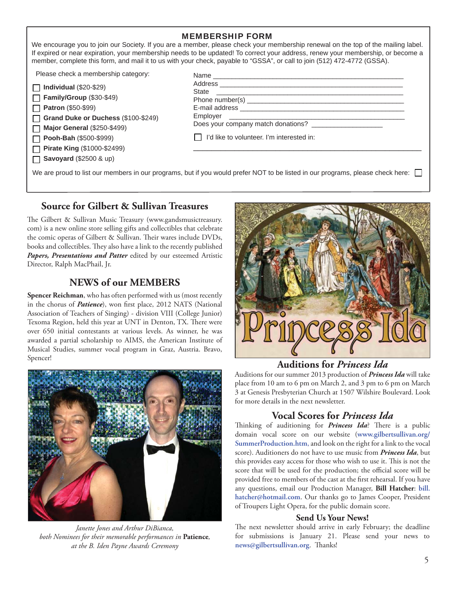|                                                                  | <b>MEMBERSHIP FORM</b><br>We encourage you to join our Society. If you are a member, please check your membership renewal on the top of the mailing label.<br>If expired or near expiration, your membership needs to be updated! To correct your address, renew your membership, or become a<br>member, complete this form, and mail it to us with your check, payable to "GSSA", or call to join (512) 472-4772 (GSSA). |
|------------------------------------------------------------------|---------------------------------------------------------------------------------------------------------------------------------------------------------------------------------------------------------------------------------------------------------------------------------------------------------------------------------------------------------------------------------------------------------------------------|
| Please check a membership category:<br>Individual $(\$20-\$29)$  |                                                                                                                                                                                                                                                                                                                                                                                                                           |
| Family/Group (\$30-\$49)                                         |                                                                                                                                                                                                                                                                                                                                                                                                                           |
| <b>Patron (\$50-\$99)</b><br>Grand Duke or Duchess (\$100-\$249) |                                                                                                                                                                                                                                                                                                                                                                                                                           |
| <b>Major General (\$250-\$499)</b>                               | Does your company match donations? _____________________                                                                                                                                                                                                                                                                                                                                                                  |
| Pooh-Bah (\$500-\$999)<br><b>Pirate King (\$1000-\$2499)</b>     | I'd like to volunteer. I'm interested in:                                                                                                                                                                                                                                                                                                                                                                                 |
| <b>Savoyard</b> (\$2500 & up)                                    |                                                                                                                                                                                                                                                                                                                                                                                                                           |
|                                                                  | We are proud to list our members in our programs, but if you would prefer NOT to be listed in our programs, please check here:                                                                                                                                                                                                                                                                                            |

#### **Source for Gilbert & Sullivan Treasures**

The Gilbert & Sullivan Music Treasury (www.gandsmusictreasury. com) is a new online store selling gifts and collectibles that celebrate the comic operas of Gilbert & Sullivan. Their wares include DVDs, books and collectibles. They also have a link to the recently published *Papers, Presentations and Patter* edited by our esteemed Artistic Director, Ralph MacPhail, Jr.

### **NEWS of our MEMBERS**

**Spencer Reichman**, who has often performed with us (most recently in the chorus of *Patience*), won first place, 2012 NATS (National Association of Teachers of Singing) - division VIII (College Junior) Texoma Region, held this year at UNT in Denton, TX. There were over 650 initial contestants at various levels. As winner, he was awarded a partial scholarship to AIMS, the American Institute of Musical Studies, summer vocal program in Graz, Austria. Bravo, Spencer! **Auditions for** *Princess Ida*



*Janette Jones and Arthur DiBianca, both Nominees for their memorable performances in* **Patience***, at the B. Iden Payne Awards Ceremony*



Auditions for our summer 2013 production of *Princess Ida* will take place from 10 am to 6 pm on March 2, and 3 pm to 6 pm on March 3 at Genesis Presbyterian Church at 1507 Wilshire Boulevard. Look for more details in the next newsletter.

#### **Vocal Scores for** *Princess Ida*

Thinking of auditioning for *Princess Ida*? There is a public domain vocal score on our website (**www.gilbertsullivan.org/ SummerProduction.htm**, and look on the right for a link to the vocal score). Auditioners do not have to use music from *Princess Ida*, but this provides easy access for those who wish to use it. This is not the score that will be used for the production; the official score will be provided free to members of the cast at the first rehearsal. If you have any questions, email our Production Manager, **Bill Hatcher**: **bill. hatcher@hotmail.com**. Our thanks go to James Cooper, President of Troupers Light Opera, for the public domain score.

#### **Send Us Your News!**

The next newsletter should arrive in early February; the deadline for submissions is January 21. Please send your news to news@gilbertsullivan.org. Thanks!